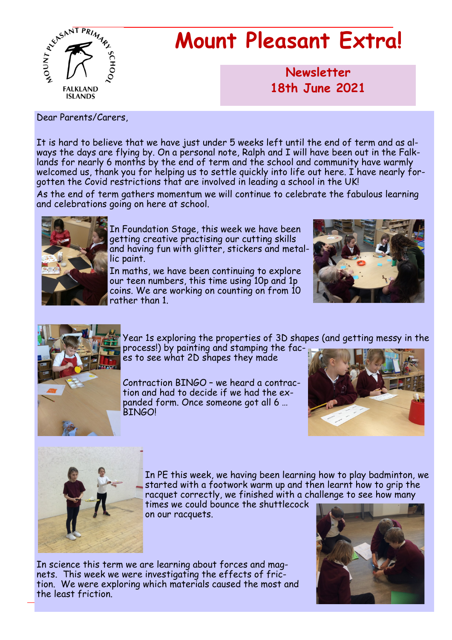

# **Mount Pleasant Extra!**

**Newsletter now 18th June 2021**

Dear Parents/Carers,

It is hard to believe that we have just under 5 weeks left until the end of term and as always the days are flying by. On a personal note, Ralph and I will have been out in the Falklands for nearly 6 months by the end of term and the school and community have warmly welcomed us, thank you for helping us to settle quickly into life out here. I have nearly forgotten the Covid restrictions that are involved in leading a school in the UK!

As the end of term gathers momentum we will continue to celebrate the fabulous learning and celebrations going on here at school.



In Foundation Stage, this week we have been getting creative practising our cutting skills and having fun with glitter, stickers and metallic paint.

In maths, we have been continuing to explore our teen numbers, this time using 10p and 1p coins. We are working on counting on from 10 rather than 1.





Year 1s exploring the properties of 3D shapes (and getting messy in the

process!) by painting and stamping the faces to see what 2D shapes they made

Contraction BINGO – we heard a contraction and had to decide if we had the expanded form. Once someone got all 6 … BINGO!





In PE this week, we having been learning how to play badminton, we started with a footwork warm up and then learnt how to grip the racquet correctly, we finished with a challenge to see how many times we could bounce the shuttlecock

on our racquets.

In science this term we are learning about forces and magnets. This week we were investigating the effects of friction. We were exploring which materials caused the most and the least friction.